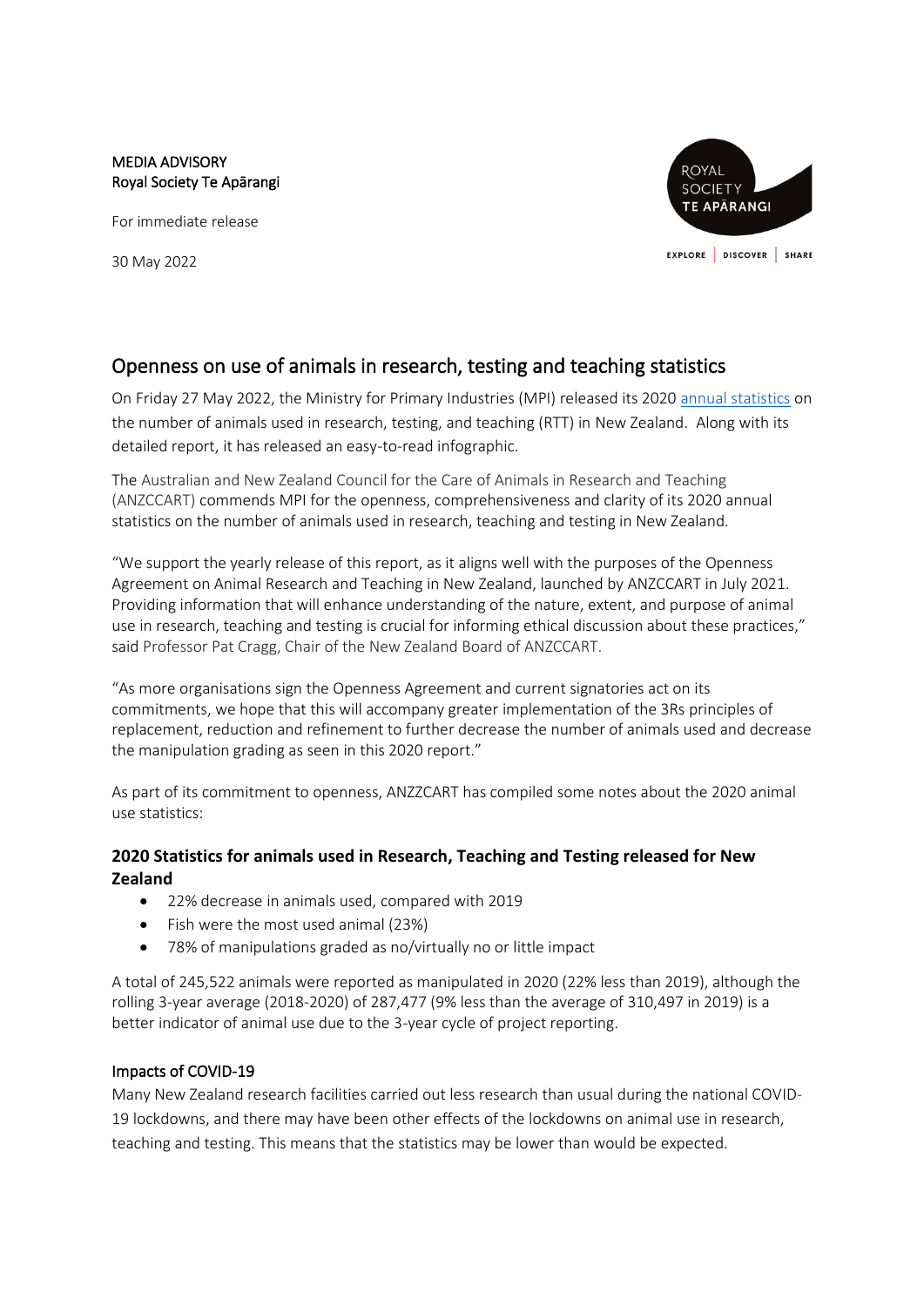#### MEDIA ADVISORY Royal Society Te Apārangi

For immediate release

30 May 2022



# Openness on use of animals in research, testing and teaching statistics

On Friday 27 May 2022, the Ministry for Primary Industries (MPI) released its 2020 [annual statistics](https://www.mpi.govt.nz/animals/animal-welfare/animals-research-testing-teaching/statistics-on-the-use-of-animals-in-research-testing-and-teaching/) on the number of animals used in research, testing, and teaching (RTT) in New Zealand. Along with its detailed report, it has released an easy-to-read infographic.

The Australian and New Zealand Council for the Care of Animals in Research and Teaching (ANZCCART) commends MPI for the openness, comprehensiveness and clarity of its 2020 annual statistics on the number of animals used in research, teaching and testing in New Zealand.

"We support the yearly release of this report, as it aligns well with the purposes of the Openness Agreement on Animal Research and Teaching in New Zealand, launched by ANZCCART in July 2021. Providing information that will enhance understanding of the nature, extent, and purpose of animal use in research, teaching and testing is crucial for informing ethical discussion about these practices," said Professor Pat Cragg, Chair of the New Zealand Board of ANZCCART.

"As more organisations sign the Openness Agreement and current signatories act on its commitments, we hope that this will accompany greater implementation of the 3Rs principles of replacement, reduction and refinement to further decrease the number of animals used and decrease the manipulation grading as seen in this 2020 report."

As part of its commitment to openness, ANZZCART has compiled some notes about the 2020 animal use statistics:

# **2020 Statistics for animals used in Research, Teaching and Testing released for New Zealand**

- 22% decrease in animals used, compared with 2019
- Fish were the most used animal (23%)
- 78% of manipulations graded as no/virtually no or little impact

A total of 245,522 animals were reported as manipulated in 2020 (22% less than 2019), although the rolling 3-year average (2018-2020) of 287,477 (9% less than the average of 310,497 in 2019) is a better indicator of animal use due to the 3-year cycle of project reporting.

#### Impacts of COVID-19

Many New Zealand research facilities carried out less research than usual during the national COVID-19 lockdowns, and there may have been other effects of the lockdowns on animal use in research, teaching and testing. This means that the statistics may be lower than would be expected.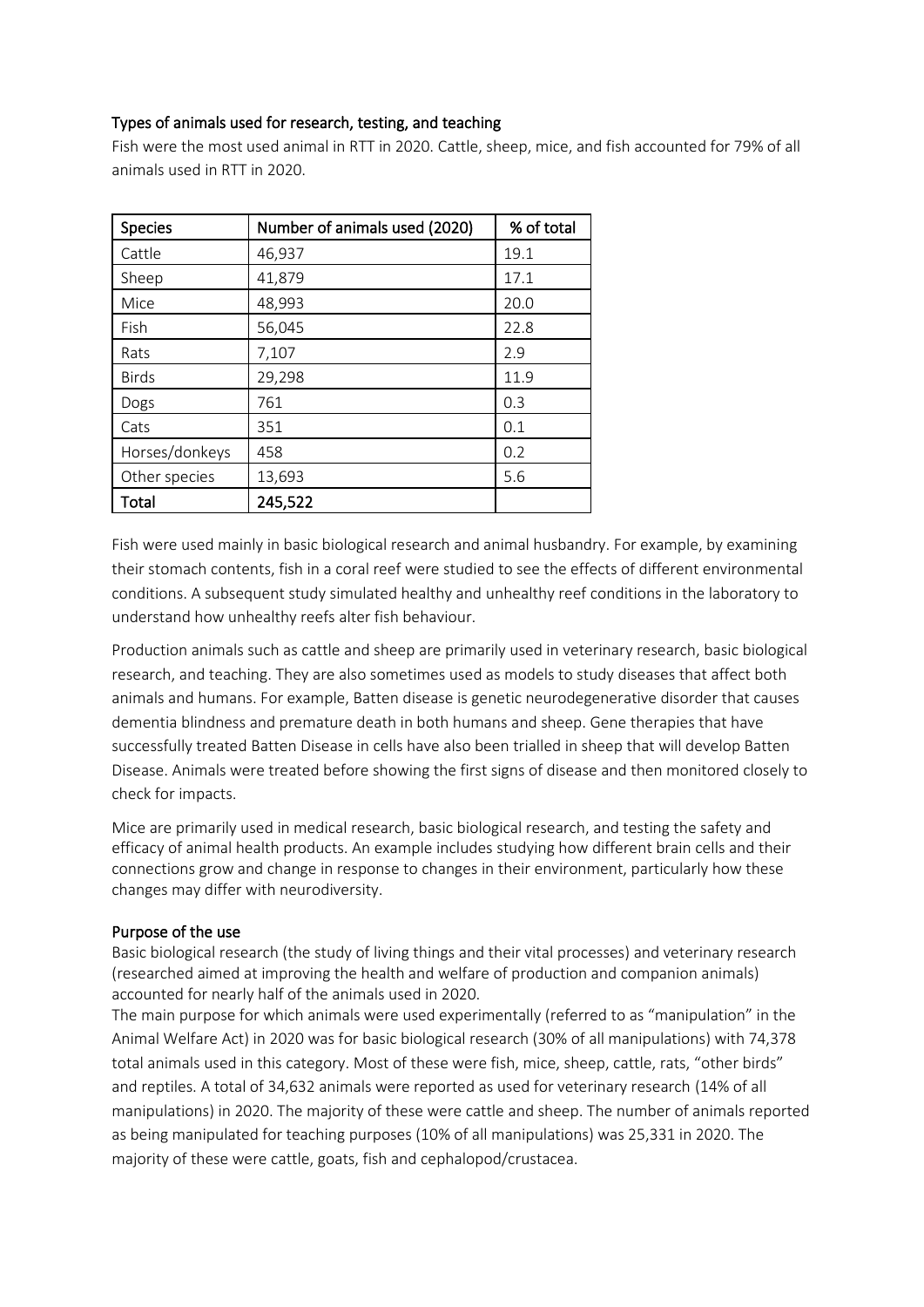### Types of animals used for research, testing, and teaching

Fish were the most used animal in RTT in 2020. Cattle, sheep, mice, and fish accounted for 79% of all animals used in RTT in 2020.

| <b>Species</b> | Number of animals used (2020) | % of total |
|----------------|-------------------------------|------------|
| Cattle         | 46,937                        | 19.1       |
| Sheep          | 41,879                        | 17.1       |
| Mice           | 48,993                        | 20.0       |
| Fish           | 56,045                        | 22.8       |
| Rats           | 7,107                         | 2.9        |
| <b>Birds</b>   | 29,298                        | 11.9       |
| Dogs           | 761                           | 0.3        |
| Cats           | 351                           | 0.1        |
| Horses/donkeys | 458                           | 0.2        |
| Other species  | 13,693                        | 5.6        |
| Total          | 245,522                       |            |

Fish were used mainly in basic biological research and animal husbandry. For example, by examining their stomach contents, fish in a coral reef were studied to see the effects of different environmental conditions. A subsequent study simulated healthy and unhealthy reef conditions in the laboratory to understand how unhealthy reefs alter fish behaviour.

Production animals such as cattle and sheep are primarily used in veterinary research, basic biological research, and teaching. They are also sometimes used as models to study diseases that affect both animals and humans. For example, Batten disease is genetic neurodegenerative disorder that causes dementia blindness and premature death in both humans and sheep. Gene therapies that have successfully treated Batten Disease in cells have also been trialled in sheep that will develop Batten Disease. Animals were treated before showing the first signs of disease and then monitored closely to check for impacts.

Mice are primarily used in medical research, basic biological research, and testing the safety and efficacy of animal health products. An example includes studying how different brain cells and their connections grow and change in response to changes in their environment, particularly how these changes may differ with neurodiversity.

#### Purpose of the use

Basic biological research (the study of living things and their vital processes) and veterinary research (researched aimed at improving the health and welfare of production and companion animals) accounted for nearly half of the animals used in 2020.

The main purpose for which animals were used experimentally (referred to as "manipulation" in the Animal Welfare Act) in 2020 was for basic biological research (30% of all manipulations) with 74,378 total animals used in this category. Most of these were fish, mice, sheep, cattle, rats, "other birds" and reptiles. A total of 34,632 animals were reported as used for veterinary research (14% of all manipulations) in 2020. The majority of these were cattle and sheep. The number of animals reported as being manipulated for teaching purposes (10% of all manipulations) was 25,331 in 2020. The majority of these were cattle, goats, fish and cephalopod/crustacea.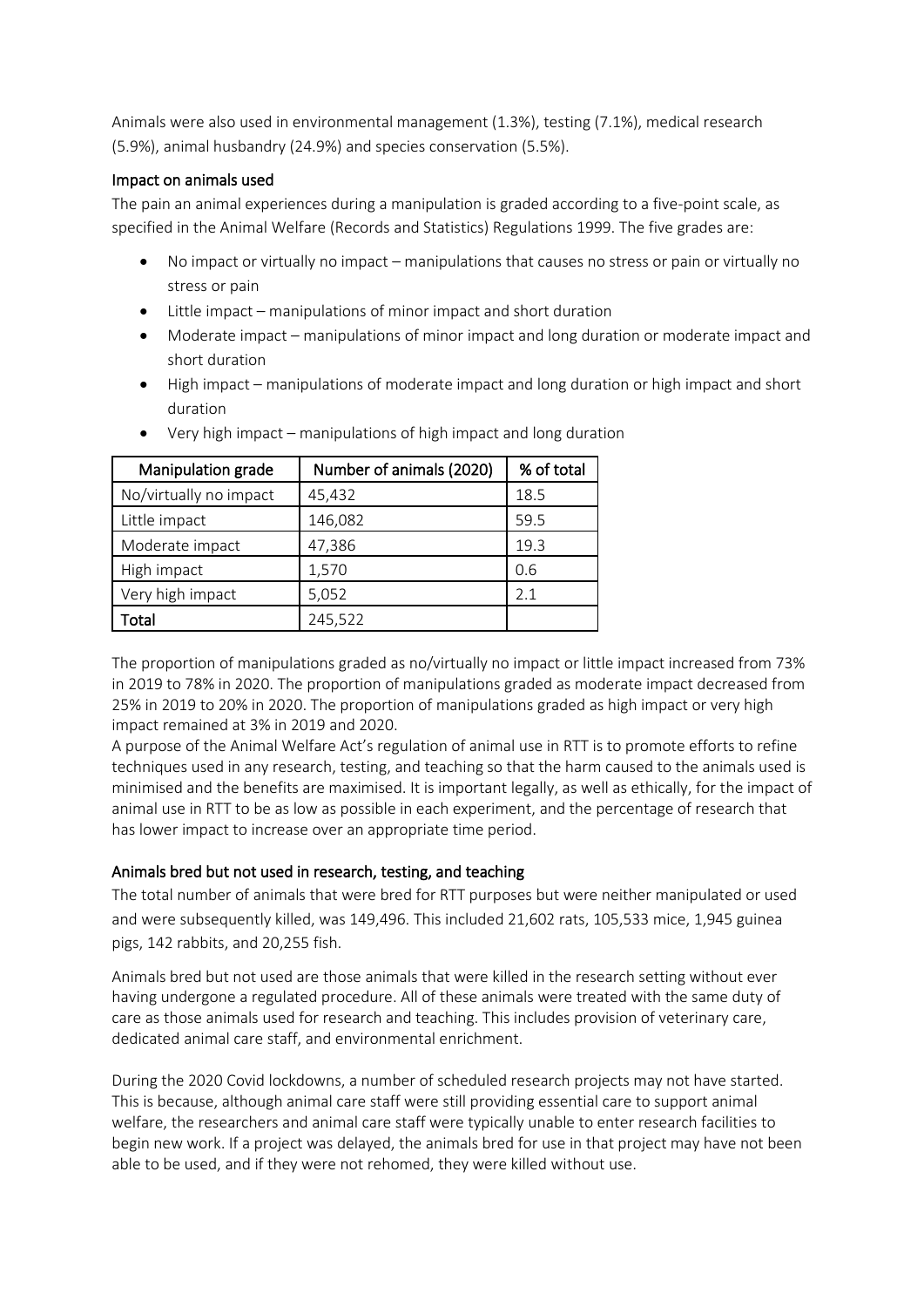Animals were also used in environmental management (1.3%), testing (7.1%), medical research (5.9%), animal husbandry (24.9%) and species conservation (5.5%).

#### Impact on animals used

The pain an animal experiences during a manipulation is graded according to a five-point scale, as specified in the Animal Welfare (Records and Statistics) Regulations 1999. The five grades are:

- No impact or virtually no impact manipulations that causes no stress or pain or virtually no stress or pain
- Little impact manipulations of minor impact and short duration
- Moderate impact manipulations of minor impact and long duration or moderate impact and short duration
- High impact manipulations of moderate impact and long duration or high impact and short duration

| Manipulation grade     | Number of animals (2020) | % of total |
|------------------------|--------------------------|------------|
| No/virtually no impact | 45,432                   | 18.5       |
| Little impact          | 146,082                  | 59.5       |
| Moderate impact        | 47,386                   | 19.3       |
| High impact            | 1,570                    | 0.6        |
| Very high impact       | 5,052                    | 2.1        |
| Total                  | 245,522                  |            |

• Very high impact – manipulations of high impact and long duration

The proportion of manipulations graded as no/virtually no impact or little impact increased from 73% in 2019 to 78% in 2020. The proportion of manipulations graded as moderate impact decreased from 25% in 2019 to 20% in 2020. The proportion of manipulations graded as high impact or very high impact remained at 3% in 2019 and 2020.

A purpose of the Animal Welfare Act's regulation of animal use in RTT is to promote efforts to refine techniques used in any research, testing, and teaching so that the harm caused to the animals used is minimised and the benefits are maximised. It is important legally, as well as ethically, for the impact of animal use in RTT to be as low as possible in each experiment, and the percentage of research that has lower impact to increase over an appropriate time period.

#### Animals bred but not used in research, testing, and teaching

The total number of animals that were bred for RTT purposes but were neither manipulated or used and were subsequently killed, was 149,496. This included 21,602 rats, 105,533 mice, 1,945 guinea pigs, 142 rabbits, and 20,255 fish.

Animals bred but not used are those animals that were killed in the research setting without ever having undergone a regulated procedure. All of these animals were treated with the same duty of care as those animals used for research and teaching. This includes provision of veterinary care, dedicated animal care staff, and environmental enrichment.

During the 2020 Covid lockdowns, a number of scheduled research projects may not have started. This is because, although animal care staff were still providing essential care to support animal welfare, the researchers and animal care staff were typically unable to enter research facilities to begin new work. If a project was delayed, the animals bred for use in that project may have not been able to be used, and if they were not rehomed, they were killed without use.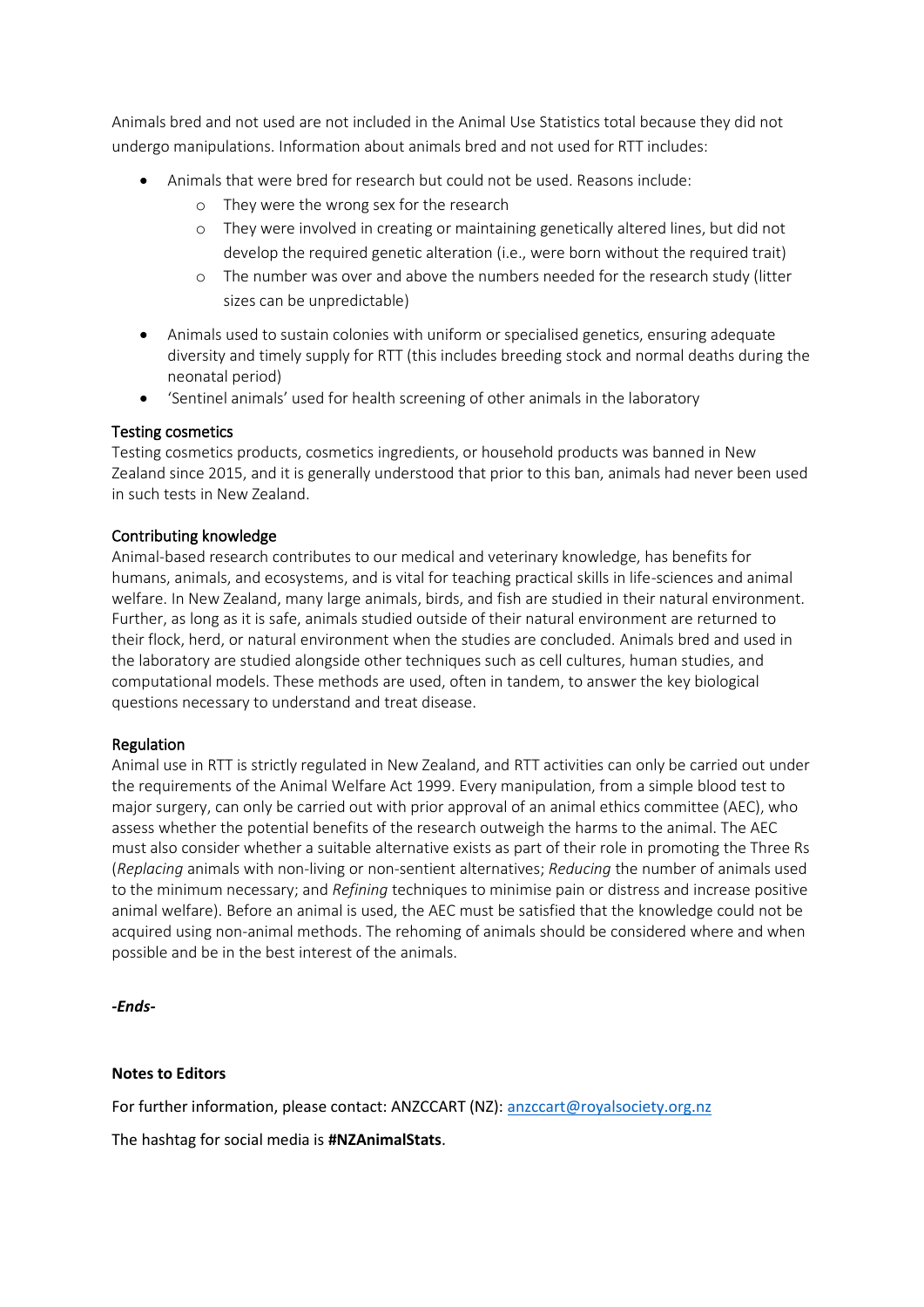Animals bred and not used are not included in the Animal Use Statistics total because they did not undergo manipulations. Information about animals bred and not used for RTT includes:

- Animals that were bred for research but could not be used. Reasons include:
	- o They were the wrong sex for the research
	- o They were involved in creating or maintaining genetically altered lines, but did not develop the required genetic alteration (i.e., were born without the required trait)
	- o The number was over and above the numbers needed for the research study (litter sizes can be unpredictable)
- Animals used to sustain colonies with uniform or specialised genetics, ensuring adequate diversity and timely supply for RTT (this includes breeding stock and normal deaths during the neonatal period)
- 'Sentinel animals' used for health screening of other animals in the laboratory

#### Testing cosmetics

Testing cosmetics products, cosmetics ingredients, or household products was banned in New Zealand since 2015, and it is generally understood that prior to this ban, animals had never been used in such tests in New Zealand.

#### Contributing knowledge

Animal-based research contributes to our medical and veterinary knowledge, has benefits for humans, animals, and ecosystems, and is vital for teaching practical skills in life-sciences and animal welfare. In New Zealand, many large animals, birds, and fish are studied in their natural environment. Further, as long as it is safe, animals studied outside of their natural environment are returned to their flock, herd, or natural environment when the studies are concluded. Animals bred and used in the laboratory are studied alongside other techniques such as cell cultures, human studies, and computational models. These methods are used, often in tandem, to answer the key biological questions necessary to understand and treat disease.

#### Regulation

Animal use in RTT is strictly regulated in New Zealand, and RTT activities can only be carried out under the requirements of the Animal Welfare Act 1999. Every manipulation, from a simple blood test to major surgery, can only be carried out with prior approval of an animal ethics committee (AEC), who assess whether the potential benefits of the research outweigh the harms to the animal. The AEC must also consider whether a suitable alternative exists as part of their role in promoting the Three Rs (*Replacing* animals with non-living or non-sentient alternatives; *Reducing* the number of animals used to the minimum necessary; and *Refining* techniques to minimise pain or distress and increase positive animal welfare). Before an animal is used, the AEC must be satisfied that the knowledge could not be acquired using non-animal methods. The rehoming of animals should be considered where and when possible and be in the best interest of the animals.

*-Ends-*

#### **Notes to Editors**

For further information, please contact: ANZCCART (NZ): [anzccart@royalsociety.org.nz](mailto:anzccart@royalsociety.org.nz)

The hashtag for social media is **#NZAnimalStats**.